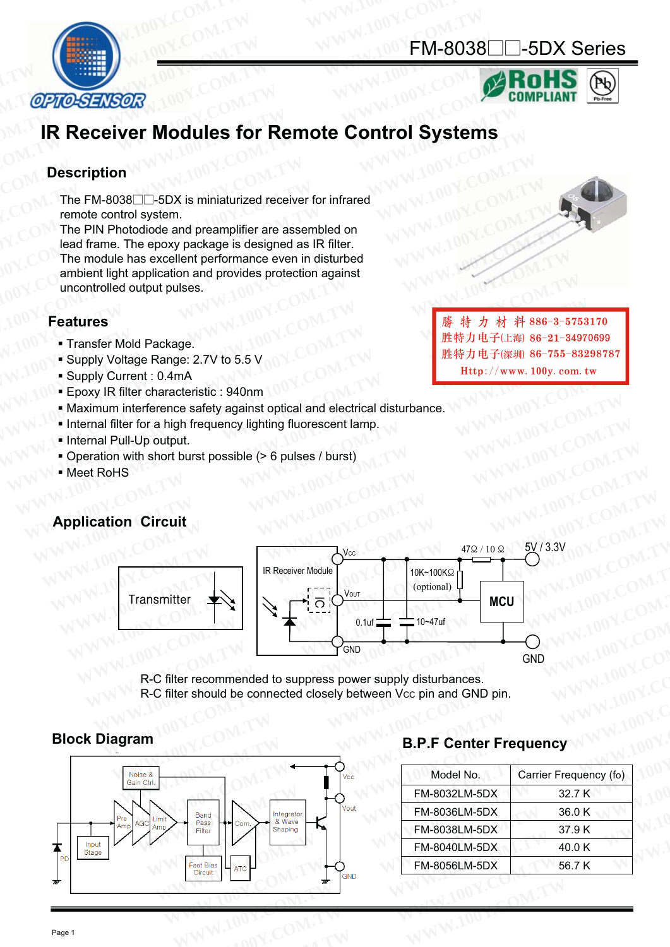### FM-8038□□-5DX Series





# **IR Receiver Modules for Remote Control Systems CPIO-SENSOR**<br> **IR Receiver Modules for Remote Control Systems**<br> **Description**<br>
The FM-8038 $\square$ -5DX is miniaturized receiver for infrared<br>
remote control system.<br>
The PIN Photodiode and preamplifier are assembled on<br>
lead

### **Description**

The FM-8038□□-5DX is miniaturized receiver for infrared remote control system.

The PIN Photodiode and preamplifier are assembled on lead frame. The epoxy package is designed as IR filter. The module has excellent performance even in disturbed ambient light application and provides protection against uncontrolled output pulses. **CPTO-SENSOR<br>
IR Receiver Modules for Remote Control Systems<br>
Description<br>
The FM-8038** $\Box$ **-5DX is miniaturized receiver for infrared<br>
remote control system.<br>
The PIN Photodiode and preamplifier are assembled on<br>
lead frame IR Receiver Modules for Remote Control Systems**<br> **IR Receiver Modules for Remote Control Systems**<br> **Description**<br>
The FM-8038 $\Box$ -5DX is miniaturized receiver for infrared<br>
remote control system.<br>
The PIN Photodiode and p **IR Receiver Modules for Remote Control Systems**<br>Description<br>The FM-8038 $\Box$ -5DX is miniaturized receiver for infrared<br>remote control system.<br>The PIN Photodiode and preamplifier are assembled on<br>lead frame. The epoxy packa **IR Receiver Modules for Remote Control Systems**<br>
Description<br>
The FM-8038 $\Box$ -5DX is miniaturized receiver for infrared<br>
remote control system.<br>
The PIN Photodiode and preamplifier are assembled on<br>
lead frame. The epoxy **Meanual Community Community**<br>
The FM-8038□ -5DX is miniaturized receiver for infrared<br>
remote control system.<br>
The PIN Photodiode and preamplifier are assembled on<br>
lead frame. The epoxy package is designed as IR filter. The FM-8038 $\Box$ -5DX is miniaturized receiver for infrared<br>
remote control system.<br>
The PIN Photodiode and preamplifier are assembled on<br>
lead frame. The epoxy package is designed as IR filter.<br>
The module has excellent pe **WE ATTREAD THE TWO SOLUTIONS IS IMMEDIATED TRANSPORT THE PIN Photodiode and preamplifier are assembled on<br>
lead frame. The epoxy package is designed as IR filter.<br>
The module has excellent performance even in disturbed<br>** The PIN Photodiode and preamplifier are assembled on<br>
lead frame. The module has excellent performance even in disturbed<br>
ambient light application and provides protection against<br>
uncontrolled output pulses.<br> **Features**<br> The module has excellent performance even in disturbed<br>
ambient light application and provides protection against<br>
uncontrolled output pulses.<br> **Features**<br>
• Transfer Mold Package.<br>
• Supply Voltage Range: 2.7V to 5.5 V<br>

### **Features**

- **Transfer Mold Package.**
- Supply Voltage Range: 2.7V to 5.5 V
- Supply Current : 0.4mA
- Epoxy IR filter characteristic : 940nm
- Maximum interference safety against optical and electrical disturbance.
- Internal filter for a high frequency lighting fluorescent lamp.
- Internal Pull-Up output.
- Operation with short burst possible (> 6 pulses / burst)
- **Meet RoHS**

### **Application Circuit**



R-C filter recommended to suppress power supply disturbances. R-C filter should be connected closely between Vcc pin and GND pin.



### **Block Diagram B.P.F Center Frequency**

| Carrier Frequency (fo) |
|------------------------|
| 32.7 K                 |
| 36.0K                  |
| 37.9K                  |
| 40.0K                  |
| 56.7 K                 |
|                        |

**WEBON COM. SEVERTHER COM COMPUSES**<br>
■ Transfer Mold Package.<br>
■ Transfer Mold Package.<br>
■ Supply Voltage Range: 2.7V to 5.5 V<br>
■ Supply Current : 0.4mA<br>
■ Epoxy IR filter characteristic : 940nm<br>
■ Maximum interference s **Features**<br>
• Transfer Mold Package.<br>
• Supply Voltage Range: 2.7V to 5.5 V<br>
• Supply Voltage Range: 2.7V to 5.5 V<br>
• Supply Current : 0.4mA<br>
• Epoxy IR filter characteristic : 940nm<br>
• Maximum interference safety against **WEBOUT TRANS**<br>
• Supply Voltage Range: 2.7V to 5.5 V<br>
• Supply Voltage Range: 2.7V to 5.5 V<br>
• Supply Current : 0.4mA<br>
• Exploration Circuit<br>
• Maximum interference safety against optical and electrical disturbance.<br>
• I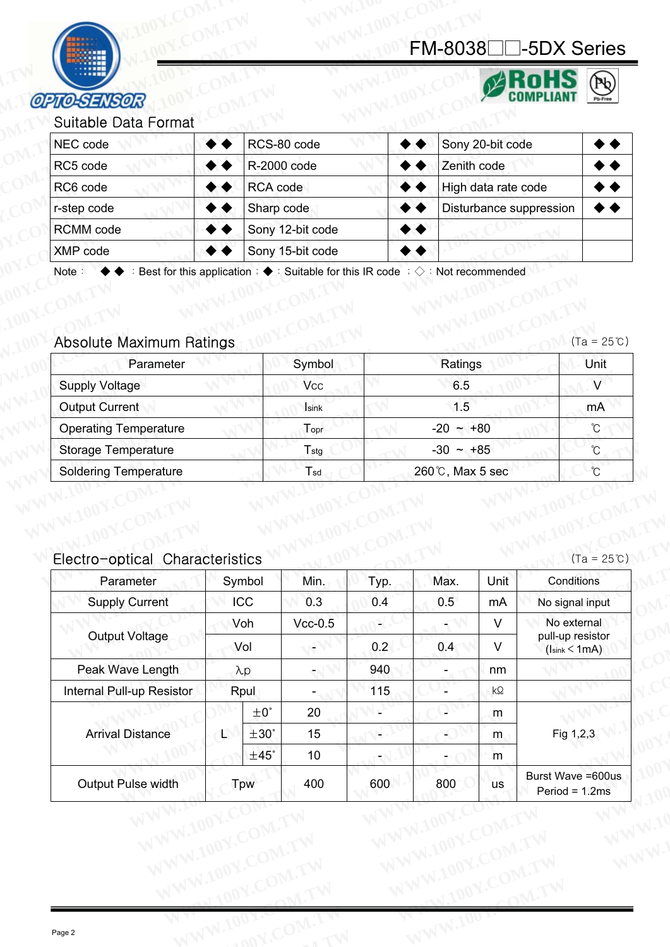### MM<br>FM-8038□□-5DX Series



### Suitable Data Format

| <b>OPTO-SENSOR</b>                |                                                                                                      | FM-8038□□-5DX Series    | (N)                  |
|-----------------------------------|------------------------------------------------------------------------------------------------------|-------------------------|----------------------|
| Suitable Data Format<br>NEC code  | RCS-80 code                                                                                          | Sony 20-bit code        |                      |
| RC5 code                          | R-2000 code                                                                                          | Zenith code             |                      |
| RC6 code                          | RCA code                                                                                             | High data rate code     |                      |
| r-step code                       | Sharp code                                                                                           | Disturbance suppression |                      |
| RCMM code                         | Sony 12-bit code                                                                                     |                         |                      |
| XMP code                          | Sony 15-bit code                                                                                     |                         |                      |
| Note:<br>Absolute Maximum Ratings | Best for this application: $\blacklozenge$ : Suitable for this IR code: $\Diamond$ : Not recommended |                         | $(Ta = 25^{\circ}C)$ |
|                                   | Symbol                                                                                               | Ratings                 | Unit                 |
| Parameter                         |                                                                                                      |                         |                      |

### Absolute Maximum Ratings  $100^{\text{Y}}$ . COM. TW WWW.100Y.COM. TW Absolute Maximum Ratings  $100^{\text{Y}}$ .COM. TW WWW.100Y.COM. TW

**Tsd T**stg Topr Isink **V<sub>CC</sub>** Symbol 260°C, Max 5 sec  $-30 \sim +85$  $-20 - +80$ 1.5 6.5 Ratings Operating Temperature  $\qquad \qquad$   $\qquad \qquad$   $\qquad \qquad$   $\qquad \qquad$   $\qquad \qquad$   $\qquad \qquad$   $\qquad \qquad$   $\qquad \qquad$   $\qquad \qquad$   $\qquad \qquad$   $\qquad \qquad$   $\qquad \qquad$   $\qquad \qquad$   $\qquad \qquad$   $\qquad \qquad$   $\qquad \qquad$   $\qquad \qquad$   $\qquad \qquad$   $\qquad$   $\qquad \qquad$   $\qquad \qquad$   $\qquad$   $\qquad \qquad$ Storage Temperature  $T_{\text{stg}}$   $T_{\text{stg}}$   $T_{\text{stg}}$   $T_{\text{stg}}$   $T_{\text{stg}}$   $T_{\text{stg}}$   $T_{\text{stg}}$   $T_{\text{stg}}$   $T_{\text{stg}}$   $T_{\text{stg}}$   $T_{\text{stg}}$   $T_{\text{stg}}$   $T_{\text{stg}}$   $T_{\text{stg}}$   $T_{\text{stg}}$   $T_{\text{stg}}$   $T_{\text{stg}}$   $T_{\text{stg}}$   $T_{$ Soldering Temperature T<sub>sd</sub> T<sub>sd</sub> CO<sub>2</sub> 260°C, Max 5 sec Output Current mA Supply Voltage Victory of Victory Victory 100 Victory 100 Victory 100 Victory Victory 100 Victory 100 Victory 100 Victory 100 Victory 100 Victory 100 Victory 100 Victory 100 Victory 100 Victory 100 Victory 100 Victory 100 Parameter Number 2002 Symbol 2003 Ratings 2008 Albert Unit **WERE THE REMANU COOR COMM COOR COMM COOR COMM COOR COMM COOR COMM COOR COMM COOR COMM COOR COMM COOR COMM COOR COMM COOR COMM COOR COMM CONTINUES CONTINUES CONTINUES CONTINUES CONTINUES CONTINUES CONTINUES CONTINUES CONT ECMM code**<br> **WWP code**<br>
Note: ◆◆ : Best for this application : ◆ : Suitable for this IR code : ◇ : Not recommended<br>
<br>
Absolute Maximum Ratings<br>
Parameter Symbol Ratings<br>
Supply Voltage Vcc 6.5<br>
Output Current Isink 1.5<br> **EXIMP code**<br>
Note: ◆◆ : Best for this application : ◆ : Suitable for this IR code : ◇ : Not recommended<br>
Absolute Maximum Ratings<br>
Parameter Symbol Ratings<br>
Supply Voltage Vcc 6.5<br>
Output Current<br>
Operating Temperature T **Example 1999**<br> **Absolute Maximum Ratings**<br>
Parameter Symbol Ratings<br>
Supply Voltage Vcc 6.5<br>
Output Current Isink 1.5<br>
Operating Temperature T<sub>stg</sub> -30 ~ +80<br>
Storage Temperature T<sub>stg</sub> -30 ~ +85<br>
Soldering Temperature T<sub></sub> **Absolute Maximum Ratings** (Ta<br>
Parameter Symbol Ratings (Ta<br>
Supply Voltage Vcc 6.5<br>
Output Current Isink 1.5<br>
Operating Temperature T<sub>sty</sub> -20 ~ +80<br>
Storage Temperature T<sub>sty</sub> -30 ~ +85<br>
Soldering Temperature T<sub>st</sub> 260 **Absolute Maximum Ratings**<br> **WE DESCRIPED ARELY PROPERTIES AND PROPERTIES AND MAXIMUM CURRENT SUPPLY Voltage**<br> **WE DESCRIPED ARELY PROPERTIES AND PROPERTIES AND PROPERTIES AND PROPERTIES AND PROPERTIES SUPPLY ON THE SUPPLY Example 1.1.5**<br> **WE CONTROVER CONTROVER CONTROVER CONTROVER CONTROVER CONTROVER CONTROVER CONTROVER CONTROVER CONTROVER CONTROVER CONTROVER CONTROVER CONTROVER CONTROVER CONTROVER CONTROVER CONTROVER CONTROVER CONTROVER C Examply Voltage**<br> **WERE COMPUTE COMPUTE COMPUTE COMPUTE COMPUTE COMPUTE COMPUTER CONSIDER The Storage Temperature<br>
<b>COMPUTE CONTANT CONTANT CONSIDER CONTANT CONTANT CONTANT CONTANT CONTANT CONTANT CONTANT CONTANT CONTANT** Cutput Current<br>
Operating Temperature<br>
Storage Temperature<br>
Soldering Temperature<br>
T<sub>stg</sub><br>
Soldering Temperature<br>
T<sub>stg</sub><br>
260℃, Max 5 sec<br>
260℃, Max 5 sec<br>
C<br>
C<br>
C<br>
C<br>
C<br>
C<br>
C<br>
Soldering Temperature<br>
Tstare 260℃, Max 5 se

## Electro-optical Characteristics MWW.100Y.COM.TW WWW.100Y.COM.TY

| <b>Operating Temperature</b>    |     |               | Topr                     |      | $-20 - +80$     |           | $^\circ\!{\rm C}$                                          |
|---------------------------------|-----|---------------|--------------------------|------|-----------------|-----------|------------------------------------------------------------|
| <b>Storage Temperature</b>      |     |               | $T_{\text{stg}}$         |      | $-30 \sim +85$  |           | $\mathrm{C}^{\circ}$                                       |
| <b>Soldering Temperature</b>    |     |               | Tsd                      |      | 260℃, Max 5 sec |           | $\circ$                                                    |
| Electro-optical Characteristics |     |               |                          |      |                 |           | $(Ta = 25^{\circ}C)$                                       |
| Parameter                       |     | Symbol        | Min.                     | Typ. | Max.            | Unit      | Conditions                                                 |
| <b>Supply Current</b>           |     | ICC           | 0.3                      | 0.4  | 0.5             | mA        | No signal input                                            |
|                                 | Voh |               | $Vcc-0.5$                | ¥    | $\blacksquare$  | $\vee$    | No external                                                |
| <b>Output Voltage</b>           |     | Vol           |                          | 0.2  | 0.4             | $\vee$    | pull-up resistor<br>(l <sub>sink</sub> < 1 <sub>m</sub> A) |
| Peak Wave Length                |     | $\lambda p$   | $\overline{\phantom{a}}$ | 940  |                 | nm        |                                                            |
| Internal Pull-up Resistor       |     | Rpul          | $\blacksquare$           | 115  | Ξ               | $k\Omega$ |                                                            |
| <b>Arrival Distance</b>         |     | $\pm 0^\circ$ | 20                       | e)   | J)              | m         |                                                            |
|                                 | L   | ±30°          | 15                       | Ч    | 4               | m.        | Fig 1,2,3                                                  |
|                                 |     | $±45^\circ$   | $10$                     | €    | ÷               | ${\sf m}$ |                                                            |
| Output Pulse width              |     | Tpw           | 400                      | 600  | 800             | <b>us</b> | Burst Wave = 600us<br>Period = $1.2ms$                     |
|                                 |     |               |                          |      |                 |           |                                                            |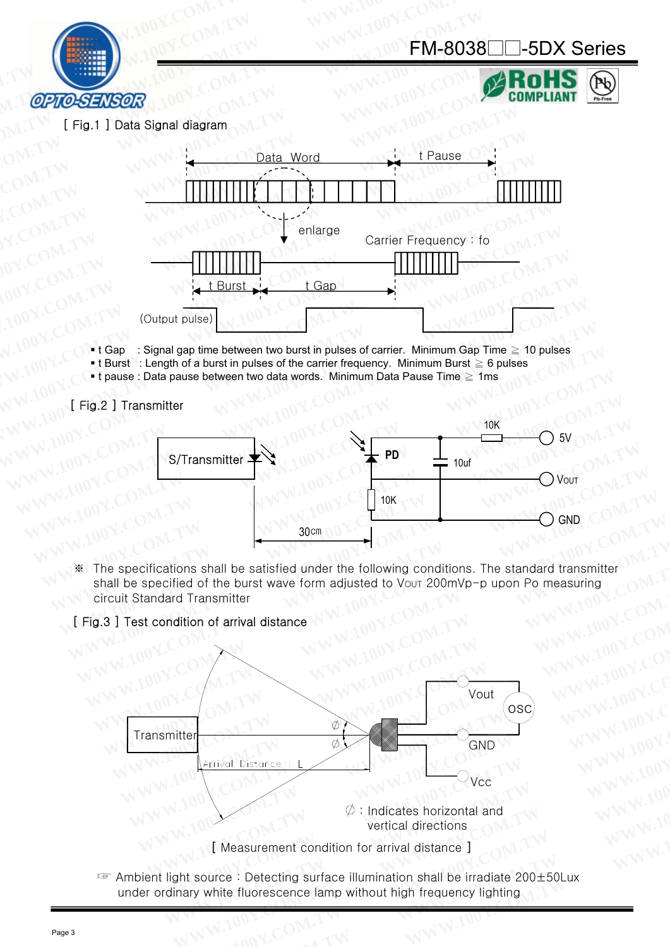



Ph.

[ Fig.1 ] Data Signal diagram



- t Gap : Signal gap time between two burst in pulses of carrier. Minimum Gap Time  $\geq 10$  pulses
- **Example 1** : Length of a burst in pulses of the carrier frequency. Minimum Burst  $\geq 6$  pulses
- t pause : Data pause between two data words. Minimum Data Pause Time ≥ 1ms

[ Fig.2 ] Transmitter



The specifications shall be satisfied under the following conditions. The standard transmitter  $\frac{1}{2}$ shall be specified of the burst wave form adjusted to Vout 200mVp-p upon Po measuring circuit Standard Transmitter

### [ Fig.3 ] Test condition of arrival distance



Ambient light source: Detecting surface illumination shall be irradiate 200±50Lux under ordinary white fluorescence lamp without high frequency lighting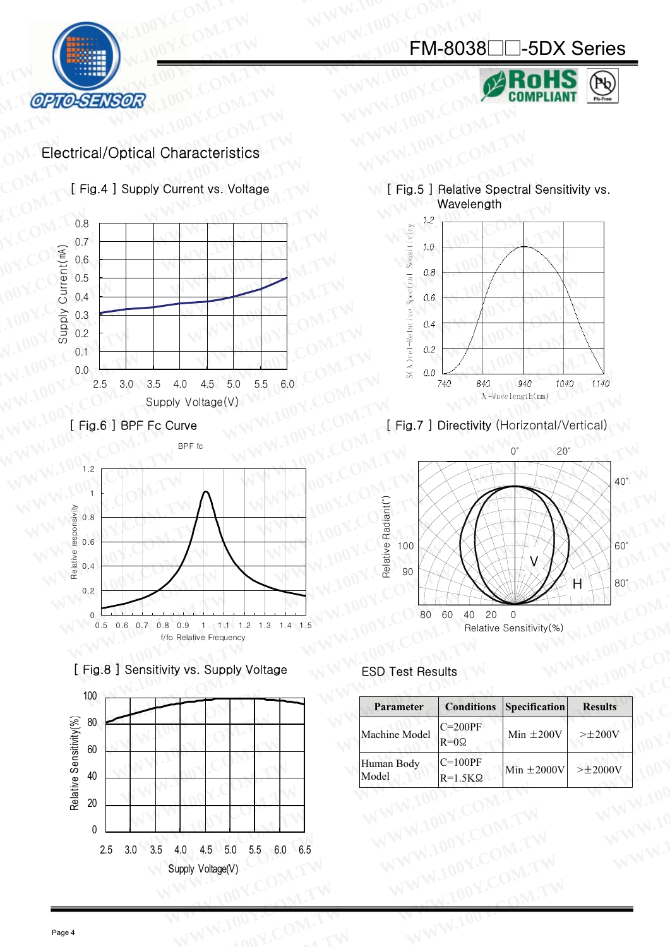

Pb



### Electrical/Optical Characteristics

[ Fig.4 ] Supply Current vs. Voltage



[ Fig.6 ] BPF Fc Curve







[ Fig.5 ] Relative Spectral Sensitivity vs. Wavelength



### [ Fig.7 ] Directivity (Horizontal/Vertical)



| ] Sensitivity vs. Supply Voltage | <b>ESD Test Results</b>                                           |
|----------------------------------|-------------------------------------------------------------------|
|                                  |                                                                   |
|                                  | <b>Conditions</b><br>Specification<br><b>Results</b><br>Parameter |
|                                  | $C=200PF$<br>Machine Model<br>Min $\pm 200V$<br>$>\pm 200V$       |
|                                  | $R=0$ Ω                                                           |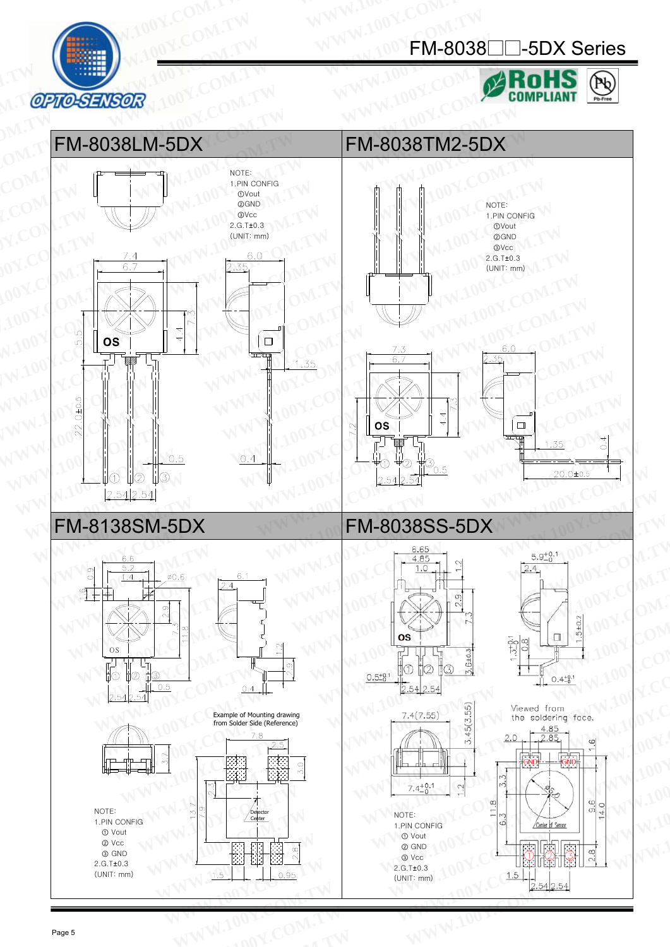

### FM-8038□□-5DX Series